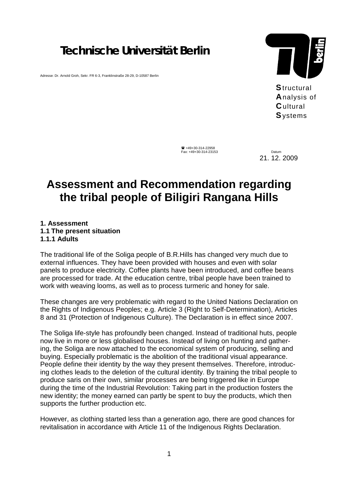## *Technische Universität Berlin*

Adresse: Dr. Arnold Groh, Sekr. FR 6-3, Franklinstraße 28-29, D-10587 Berlin



**S**tructural **A**nalysis of **C**ultural **S**ystems

 ! +49+30-314-22958 Fax: +49+30-314-23153 Datum

21. 12. 2009

# **Assessment and Recommendation regarding the tribal people of Biligiri Rangana Hills**

### **1. Assessment 1.1 The present situation 1.1.1 Adults**

The traditional life of the Soliga people of B.R.Hills has changed very much due to external influences. They have been provided with houses and even with solar panels to produce electricity. Coffee plants have been introduced, and coffee beans are processed for trade. At the education centre, tribal people have been trained to work with weaving looms, as well as to process turmeric and honey for sale.

These changes are very problematic with regard to the United Nations Declaration on the Rights of Indigenous Peoples; e.g. Article 3 (Right to Self-Determination), Articles 8 and 31 (Protection of Indigenous Culture). The Declaration is in effect since 2007.

The Soliga life-style has profoundly been changed. Instead of traditional huts, people now live in more or less globalised houses. Instead of living on hunting and gathering, the Soliga are now attached to the economical system of producing, selling and buying. Especially problematic is the abolition of the traditional visual appearance. People define their identity by the way they present themselves. Therefore, introducing clothes leads to the deletion of the cultural identity. By training the tribal people to produce saris on their own, similar processes are being triggered like in Europe during the time of the Industrial Revolution: Taking part in the production fosters the new identity; the money earned can partly be spent to buy the products, which then supports the further production etc.

However, as clothing started less than a generation ago, there are good chances for revitalisation in accordance with Article 11 of the Indigenous Rights Declaration.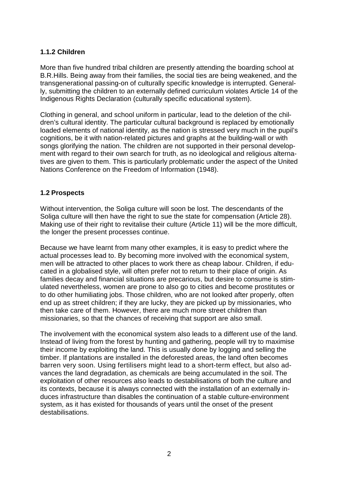## **1.1.2 Children**

More than five hundred tribal children are presently attending the boarding school at B.R.Hills. Being away from their families, the social ties are being weakened, and the transgenerational passing-on of culturally specific knowledge is interrupted. Generally, submitting the children to an externally defined curriculum violates Article 14 of the Indigenous Rights Declaration (culturally specific educational system).

Clothing in general, and school uniform in particular, lead to the deletion of the children's cultural identity. The particular cultural background is replaced by emotionally loaded elements of national identity, as the nation is stressed very much in the pupil's cognitions, be it with nation-related pictures and graphs at the building-wall or with songs glorifying the nation. The children are not supported in their personal development with regard to their own search for truth, as no ideological and religious alternatives are given to them. This is particularly problematic under the aspect of the United Nations Conference on the Freedom of Information (1948).

## **1.2 Prospects**

Without intervention, the Soliga culture will soon be lost. The descendants of the Soliga culture will then have the right to sue the state for compensation (Article 28). Making use of their right to revitalise their culture (Article 11) will be the more difficult, the longer the present processes continue.

Because we have learnt from many other examples, it is easy to predict where the actual processes lead to. By becoming more involved with the economical system, men will be attracted to other places to work there as cheap labour. Children, if educated in a globalised style, will often prefer not to return to their place of origin. As families decay and financial situations are precarious, but desire to consume is stimulated nevertheless, women are prone to also go to cities and become prostitutes or to do other humiliating jobs. Those children, who are not looked after properly, often end up as street children; if they are lucky, they are picked up by missionaries, who then take care of them. However, there are much more street children than missionaries, so that the chances of receiving that support are also small.

The involvement with the economical system also leads to a different use of the land. Instead of living from the forest by hunting and gathering, people will try to maximise their income by exploiting the land. This is usually done by logging and selling the timber. If plantations are installed in the deforested areas, the land often becomes barren very soon. Using fertilisers might lead to a short-term effect, but also advances the land degradation, as chemicals are being accumulated in the soil. The exploitation of other resources also leads to destabilisations of both the culture and its contexts, because it is always connected with the installation of an externally induces infrastructure than disables the continuation of a stable culture-environment system, as it has existed for thousands of years until the onset of the present destabilisations.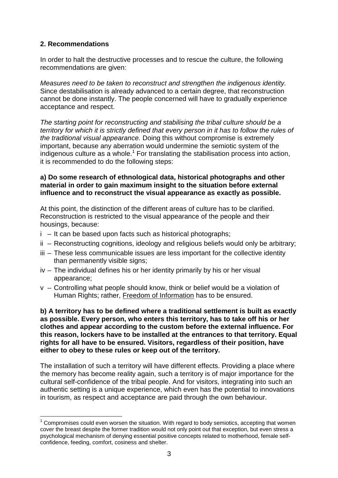## **2. Recommendations**

l

In order to halt the destructive processes and to rescue the culture, the following recommendations are given:

*Measures need to be taken to reconstruct and strengthen the indigenous identity.* Since destabilisation is already advanced to a certain degree, that reconstruction cannot be done instantly. The people concerned will have to gradually experience acceptance and respect.

*The starting point for reconstructing and stabilising the tribal culture should be a territory for which it is strictly defined that every person in it has to follow the rules of the traditional visual appearance.* Doing this without compromise is extremely important, because any aberration would undermine the semiotic system of the indigenous culture as a whole.<sup>1</sup> For translating the stabilisation process into action, it is recommended to do the following steps:

### **a) Do some research of ethnological data, historical photographs and other material in order to gain maximum insight to the situation before external influence and to reconstruct the visual appearance as exactly as possible.**

At this point, the distinction of the different areas of culture has to be clarified. Reconstruction is restricted to the visual appearance of the people and their housings, because:

- i It can be based upon facts such as historical photographs;
- ii Reconstructing cognitions, ideology and religious beliefs would only be arbitrary;
- iii These less communicable issues are less important for the collective identity than permanently visible signs;
- iv The individual defines his or her identity primarily by his or her visual appearance;
- v Controlling what people should know, think or belief would be a violation of Human Rights; rather, Freedom of Information has to be ensured.

**b) A territory has to be defined where a traditional settlement is built as exactly as possible. Every person, who enters this territory, has to take off his or her clothes and appear according to the custom before the external influence. For this reason, lockers have to be installed at the entrances to that territory. Equal rights for all have to be ensured. Visitors, regardless of their position, have either to obey to these rules or keep out of the territory.** 

The installation of such a territory will have different effects. Providing a place where the memory has become reality again, such a territory is of major importance for the cultural self-confidence of the tribal people. And for visitors, integrating into such an authentic setting is a unique experience, which even has the potential to innovations in tourism, as respect and acceptance are paid through the own behaviour.

 $1$  Compromises could even worsen the situation. With regard to body semiotics, accepting that women cover the breast despite the former tradition would not only point out that exception, but even stress a psychological mechanism of denying essential positive concepts related to motherhood, female selfconfidence, feeding, comfort, cosiness and shelter.